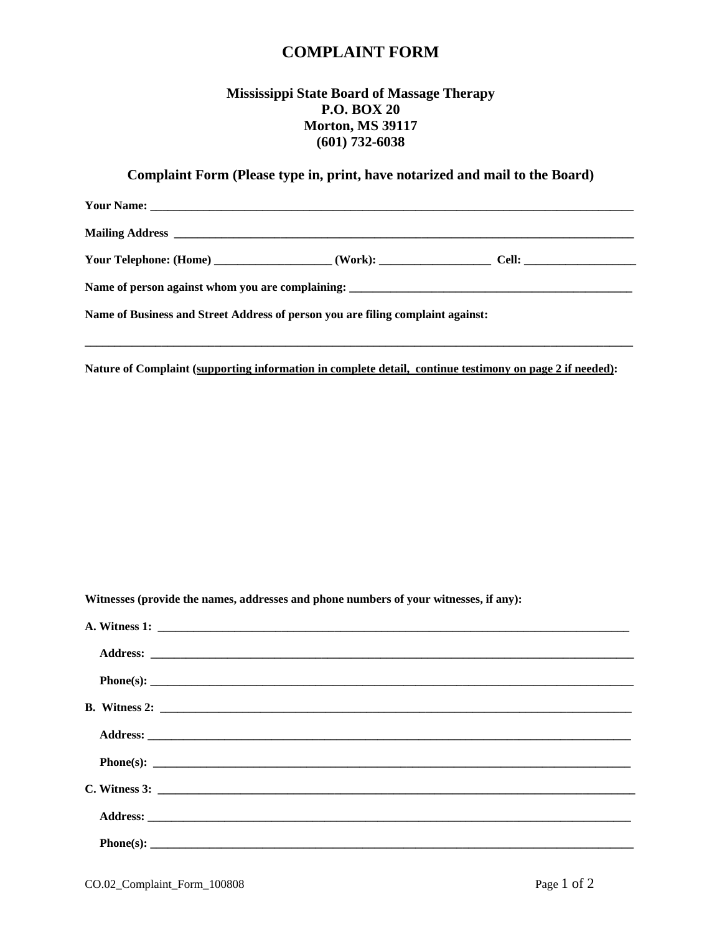## **COMPLAINT FORM**

## **Mississippi State Board of Massage Therapy P.O. BOX 20 Morton, MS 39117 (601) 732-6038**

## **Complaint Form (Please type in, print, have notarized and mail to the Board)**

| Your Telephone: (Home) _______________________(Work): __________________________Cell: ________________________ |  |  |
|----------------------------------------------------------------------------------------------------------------|--|--|
|                                                                                                                |  |  |
| Name of Business and Street Address of person you are filing complaint against:                                |  |  |
|                                                                                                                |  |  |

**Nature of Complaint (supporting information in complete detail, continue testimony on page 2 if needed):**

**Witnesses (provide the names, addresses and phone numbers of your witnesses, if any):**

| $B. Withess 2: \underline{\hspace{2cm}}$ |
|------------------------------------------|
|                                          |
|                                          |
|                                          |
|                                          |
|                                          |